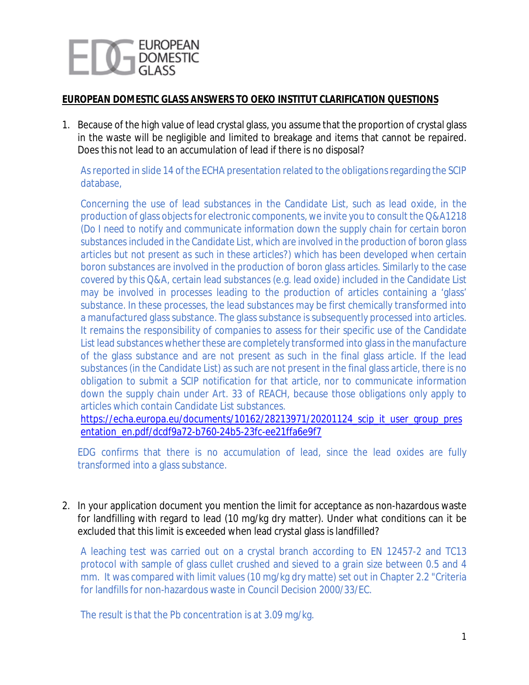

## **EUROPEAN DOMESTIC GLASS ANSWERS TO OEKO INSTITUT CLARIFICATION QUESTIONS**

1. Because of the high value of lead crystal glass, you assume that the proportion of crystal glass in the waste will be negligible and limited to breakage and items that cannot be repaired. Does this not lead to an accumulation of lead if there is no disposal?

As reported in slide 14 of the ECHA presentation related to the obligations regarding the SCIP database,

Concerning the use of lead substances in the Candidate List, such as lead oxide, in the production of glass objects for electronic components, we invite you to consult the Q&A1218 (*Do I need to notify and communicate information down the supply chain for certain boron substances included in the Candidate List, which are involved in the production of boron glass articles but not present as such in these articles?*) which has been developed when certain boron substances are involved in the production of boron glass articles. Similarly to the case covered by this Q&A, certain lead substances (e.g. lead oxide) included in the Candidate List may be involved in processes leading to the production of articles containing a 'glass' substance. In these processes, the lead substances may be first chemically transformed into a manufactured glass substance. The glass substance is subsequently processed into articles. It remains the responsibility of companies to assess for their specific use of the Candidate List lead substances whether these are completely transformed into glass in the manufacture of the glass substance and are not present as such in the final glass article. If the lead substances (in the Candidate List) as such are not present in the final glass article, there is no obligation to submit a SCIP notification for that article, nor to communicate information down the supply chain under Art. 33 of REACH, because those obligations only apply to articles which contain Candidate List substances.

[https://echa.europa.eu/documents/10162/28213971/20201124\\_scip\\_it\\_user\\_group\\_pres](https://echa.europa.eu/documents/10162/28213971/20201124_scip_it_user_group_presentation_en.pdf/dcdf9a72-b760-24b5-23fc-ee21ffa6e9f7) [entation\\_en.pdf/dcdf9a72-b760-24b5-23fc-ee21ffa6e9f7](https://echa.europa.eu/documents/10162/28213971/20201124_scip_it_user_group_presentation_en.pdf/dcdf9a72-b760-24b5-23fc-ee21ffa6e9f7)

EDG confirms that there is no accumulation of lead, since the lead oxides are fully transformed into a glass substance.

2. In your application document you mention the limit for acceptance as non-hazardous waste for landfilling with regard to lead (10 mg/kg dry matter). Under what conditions can it be excluded that this limit is exceeded when lead crystal glass is landfilled?

A leaching test was carried out on a crystal branch according to EN 12457-2 and TC13 protocol with sample of glass cullet crushed and sieved to a grain size between 0.5 and 4 mm. It was compared with limit values (10 mg/kg dry matte) set out in Chapter 2.2 "Criteria for landfills for non-hazardous waste in Council Decision 2000/33/EC.

The result is that the Pb concentration is at 3.09 mg/kg.